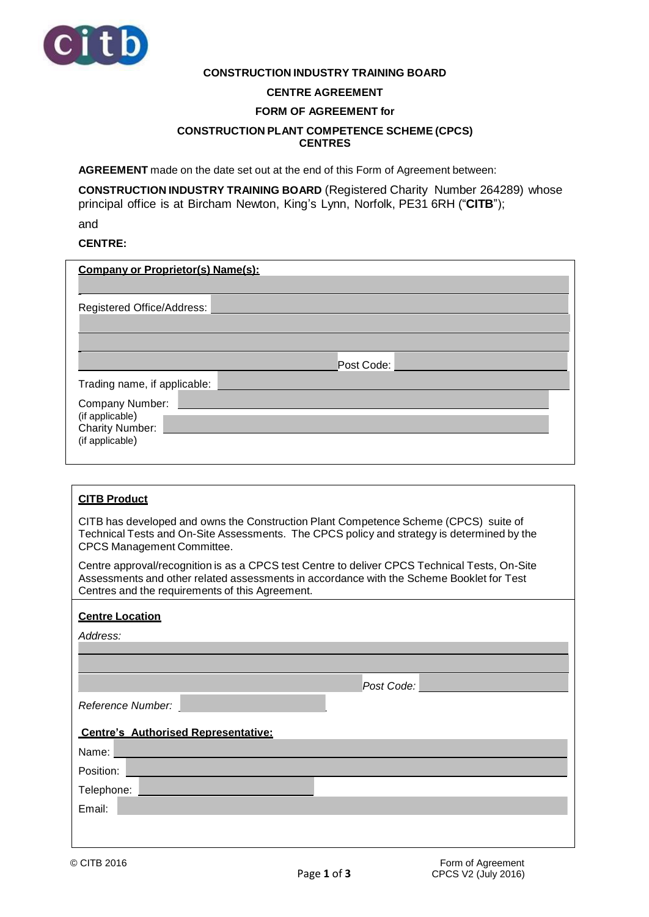

### **CONSTRUCTION INDUSTRY TRAINING BOARD**

## **CENTRE AGREEMENT**

#### **FORM OF AGREEMENT for**

#### **CONSTRUCTION PLANT COMPETENCE SCHEME (CPCS) CENTRES**

**AGREEMENT** made on the date set out at the end of this Form of Agreement between:

**CONSTRUCTION INDUSTRY TRAINING BOARD** (Registered Charity Number 264289) whose principal office is at Bircham Newton, King's Lynn, Norfolk, PE31 6RH ("**CITB**"); and

## **CENTRE:**

| <b>Company or Proprietor(s) Name(s):</b>                                        |
|---------------------------------------------------------------------------------|
| Registered Office/Address:                                                      |
| Post Code:<br>Trading name, if applicable:                                      |
| Company Number:<br>(if applicable)<br><b>Charity Number:</b><br>(if applicable) |

| <b>CITB Product</b>                                                                                                                                                                                                                          |  |  |
|----------------------------------------------------------------------------------------------------------------------------------------------------------------------------------------------------------------------------------------------|--|--|
| CITB has developed and owns the Construction Plant Competence Scheme (CPCS) suite of<br>Technical Tests and On-Site Assessments. The CPCS policy and strategy is determined by the<br><b>CPCS Management Committee.</b>                      |  |  |
| Centre approval/recognition is as a CPCS test Centre to deliver CPCS Technical Tests, On-Site<br>Assessments and other related assessments in accordance with the Scheme Booklet for Test<br>Centres and the requirements of this Agreement. |  |  |
| <b>Centre Location</b>                                                                                                                                                                                                                       |  |  |
| Address:                                                                                                                                                                                                                                     |  |  |
|                                                                                                                                                                                                                                              |  |  |
|                                                                                                                                                                                                                                              |  |  |
| Post Code:                                                                                                                                                                                                                                   |  |  |
| Reference Number:                                                                                                                                                                                                                            |  |  |
|                                                                                                                                                                                                                                              |  |  |
| <b>Centre's Authorised Representative:</b>                                                                                                                                                                                                   |  |  |
| Name:                                                                                                                                                                                                                                        |  |  |
| Position:                                                                                                                                                                                                                                    |  |  |
| Telephone:                                                                                                                                                                                                                                   |  |  |
| Email:                                                                                                                                                                                                                                       |  |  |
|                                                                                                                                                                                                                                              |  |  |
|                                                                                                                                                                                                                                              |  |  |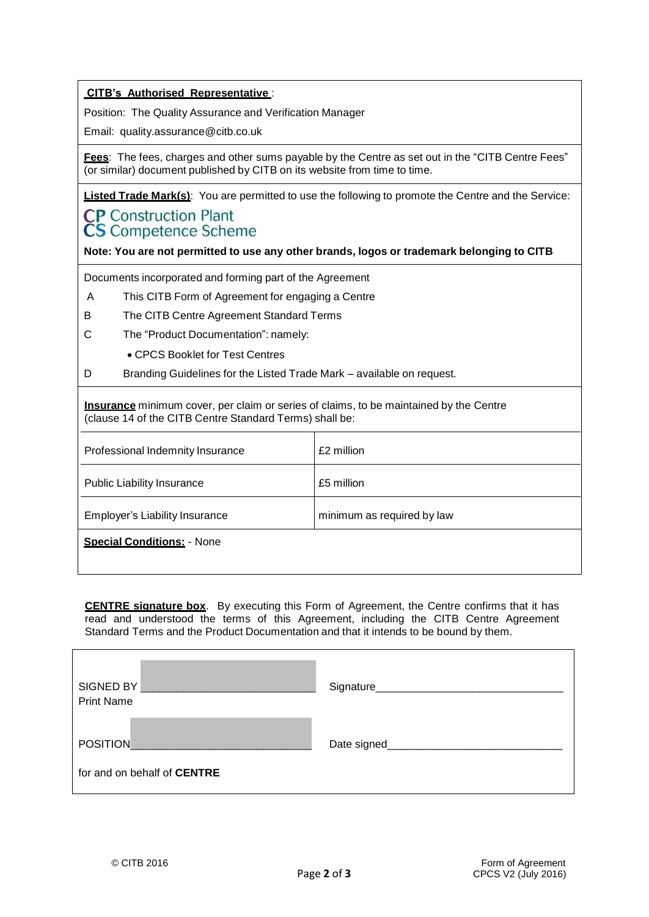## **CITB's Authorised Representative** :

Position: The Quality Assurance and Verification Manager

Email: quality.assurance@citb.co.uk

**Fees**: The fees, charges and other sums payable by the Centre as set out in the "CITB Centre Fees" (or similar) document published by CITB on its website from time to time.

**Listed Trade Mark(s)**: You are permitted to use the following to promote the Centre and the Service:

# **CP** Construction Plant **CS** Competence Scheme

**Note: You are not permitted to use any other brands, logos or trademark belonging to CITB**

Documents incorporated and forming part of the Agreement

- A This CITB Form of Agreement for engaging a Centre
- B The CITB Centre Agreement Standard Terms
- C The "Product Documentation": namely:
	- CPCS Booklet for Test Centres
- D Branding Guidelines for the Listed Trade Mark available on request*.*

**Insurance** minimum cover, per claim or series of claims, to be maintained by the Centre (clause 14 of the CITB Centre Standard Terms) shall be:

| Professional Indemnity Insurance  | £2 million                 |
|-----------------------------------|----------------------------|
| <b>Public Liability Insurance</b> | £5 million                 |
| Employer's Liability Insurance    | minimum as required by law |
| <b>Special Conditions: - None</b> |                            |

**CENTRE signature box**. By executing this Form of Agreement, the Centre confirms that it has read and understood the terms of this Agreement, including the CITB Centre Agreement Standard Terms and the Product Documentation and that it intends to be bound by them.

| SIGNED BY<br><b>Print Name</b> | Signature_   |
|--------------------------------|--------------|
| <b>POSITION</b>                | Date signed_ |
| for and on behalf of CENTRE    |              |